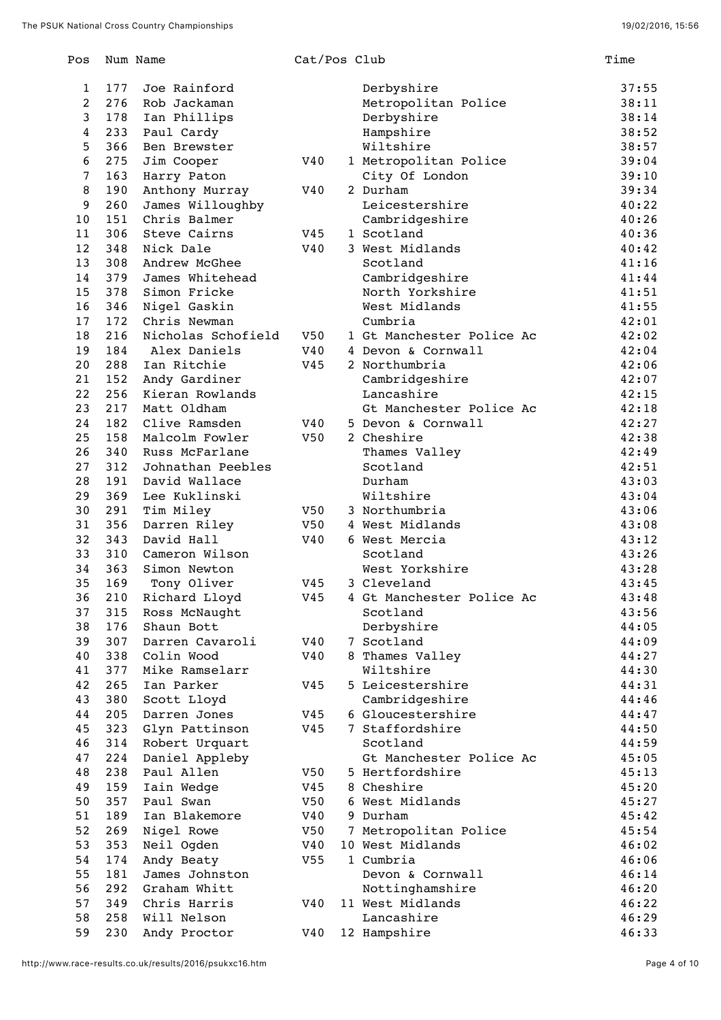| Pos            |            | Num Name                       | Cat/Pos Club |                               | Time           |
|----------------|------------|--------------------------------|--------------|-------------------------------|----------------|
| 1              | 177        | Joe Rainford                   |              | Derbyshire                    | 37:55          |
| $\overline{2}$ | 276        | Rob Jackaman                   |              | Metropolitan Police           | 38:11          |
| 3              | 178        | Ian Phillips                   |              | Derbyshire                    | 38:14          |
| 4              | 233        | Paul Cardy                     |              | Hampshire                     | 38:52          |
| 5              | 366        | Ben Brewster                   |              | Wiltshire                     | 38:57          |
| 6              | 275        | Jim Cooper                     | V40          | 1 Metropolitan Police         | 39:04          |
| 7              | 163        | Harry Paton                    |              | City Of London                | 39:10          |
| 8              | 190        | Anthony Murray                 | V40          | 2 Durham                      | 39:34          |
| 9              | 260        | James Willoughby               |              | Leicestershire                | 40:22          |
| 10             | 151        | Chris Balmer                   |              | Cambridgeshire                | 40:26          |
| 11             | 306        | Steve Cairns                   | V45          | 1 Scotland                    | 40:36          |
| 12             | 348        | Nick Dale                      | V40          | 3 West Midlands               | 40:42          |
| 13             | 308        | Andrew McGhee                  |              | Scotland                      | 41:16          |
| 14             | 379        | James Whitehead                |              | Cambridgeshire                | 41:44          |
| 15             | 378        | Simon Fricke                   |              | North Yorkshire               | 41:51          |
| 16             | 346        | Nigel Gaskin                   |              | West Midlands                 | 41:55          |
| 17             | 172        | Chris Newman                   |              | Cumbria                       | 42:01          |
| 18             | 216        | Nicholas Schofield             | V50          | 1 Gt Manchester Police Ac     | 42:02          |
| 19             | 184        | Alex Daniels                   | V40          | 4 Devon & Cornwall            | 42:04          |
| 20             | 288        | Ian Ritchie                    | V45          | 2 Northumbria                 | 42:06          |
| 21             | 152        | Andy Gardiner                  |              | Cambridgeshire                | 42:07          |
| 22             | 256        | Kieran Rowlands                |              | Lancashire                    | 42:15          |
| 23             | 217        | Matt Oldham                    |              | Gt Manchester Police Ac       | 42:18          |
| 24             | 182        | Clive Ramsden                  | V40          | 5 Devon & Cornwall            | 42:27          |
| 25             | 158        | Malcolm Fowler                 | V50          | 2 Cheshire                    | 42:38          |
| 26             | 340        | Russ McFarlane                 |              | Thames Valley                 | 42:49          |
| 27             | 312        | Johnathan Peebles              |              | Scotland                      | 42:51          |
| 28             | 191        | David Wallace                  |              | Durham                        | 43:03          |
| 29             | 369        | Lee Kuklinski                  |              | Wiltshire                     | 43:04          |
| 30             | 291        | Tim Miley                      | V50          | 3 Northumbria                 | 43:06          |
| 31             | 356        | Darren Riley                   | V50          | 4 West Midlands               | 43:08          |
| 32             | 343        | David Hall                     | V40          | 6 West Mercia                 | 43:12          |
| 33<br>34       | 310<br>363 | Cameron Wilson<br>Simon Newton |              | Scotland<br>West Yorkshire    | 43:26<br>43:28 |
| 35             | 169        | Tony Oliver                    | V45          | 3 Cleveland                   | 43:45          |
| 36             |            | 210 Richard Lloyd              |              | V45 4 Gt Manchester Police Ac | 43:48          |
| 37             | 315        | Ross McNaught                  |              | Scotland                      | 43:56          |
| 38             | 176        | Shaun Bott                     |              | Derbyshire                    | 44:05          |
| 39             | 307        | Darren Cavaroli                | V40          | 7 Scotland                    | 44:09          |
| 40             | 338        | Colin Wood                     | V40          | 8 Thames Valley               | 44:27          |
| 41             | 377        | Mike Ramselarr                 |              | Wiltshire                     | 44:30          |
| 42             | 265        | Ian Parker                     | V45          | 5 Leicestershire              | 44:31          |
| 43             | 380        | Scott Lloyd                    |              | Cambridgeshire                | 44:46          |
| 44             | 205        | Darren Jones                   | V45          | 6 Gloucestershire             | 44:47          |
| 45             | 323        | Glyn Pattinson                 | V45          | 7 Staffordshire               | 44:50          |
| 46             | 314        | Robert Urquart                 |              | Scotland                      | 44:59          |
| 47             | 224        | Daniel Appleby                 |              | Gt Manchester Police Ac       | 45:05          |
| 48             | 238        | Paul Allen                     | V50          | 5 Hertfordshire               | 45:13          |
| 49             | 159        | Iain Wedge                     | V45          | 8 Cheshire                    | 45:20          |
| 50             | 357        | Paul Swan                      | V50          | 6 West Midlands               | 45:27          |
| 51             | 189        | Ian Blakemore                  | V40          | 9 Durham                      | 45:42          |
| 52             | 269        | Nigel Rowe                     | V50          | 7 Metropolitan Police         | 45:54          |
| 53             | 353        | Neil Ogden                     | V40          | 10 West Midlands              | 46:02          |
| 54             | 174        | Andy Beaty                     | V55          | 1 Cumbria                     | 46:06          |
| 55             | 181        | James Johnston                 |              | Devon & Cornwall              | 46:14          |
| 56             | 292        | Graham Whitt                   |              | Nottinghamshire               | 46:20          |
| 57             | 349        | Chris Harris                   | V40          | 11 West Midlands              | 46:22          |
| 58             | 258        | Will Nelson                    |              | Lancashire                    | 46:29          |
| 59             | 230        | Andy Proctor                   | V40          | 12 Hampshire                  | 46:33          |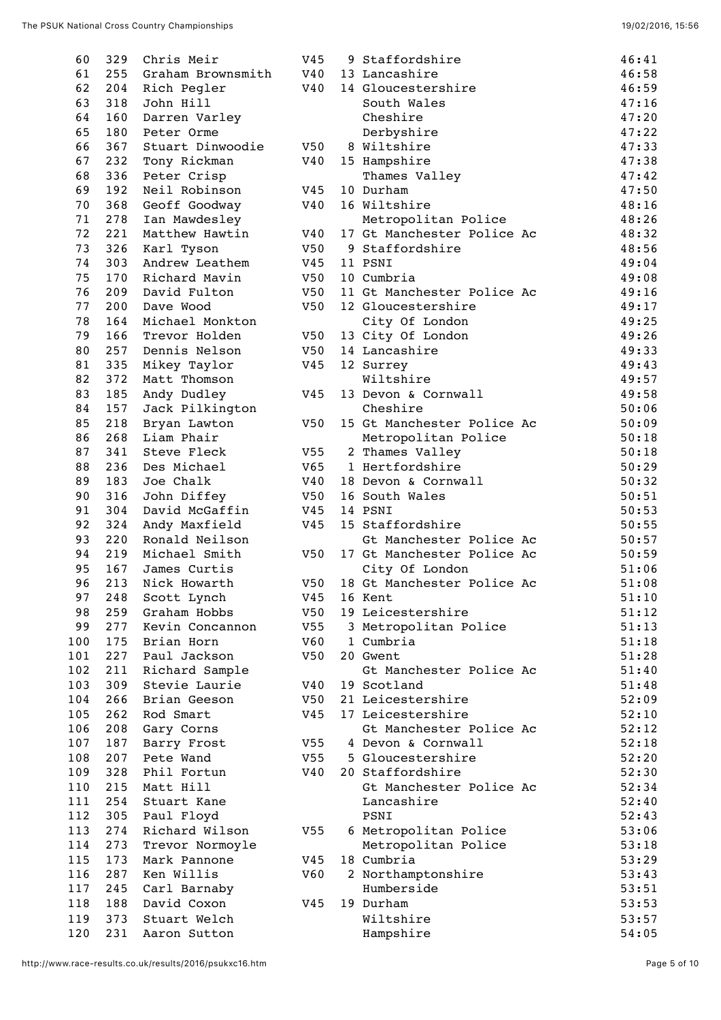| 60  | 329 | Chris Meir        | V45 | 9 Staffordshire            | 46:41 |
|-----|-----|-------------------|-----|----------------------------|-------|
| 61  | 255 | Graham Brownsmith | V40 | 13 Lancashire              | 46:58 |
| 62  | 204 | Rich Pegler       | V40 | 14 Gloucestershire         | 46:59 |
| 63  | 318 | John Hill         |     | South Wales                | 47:16 |
| 64  | 160 | Darren Varley     |     | Cheshire                   | 47:20 |
| 65  | 180 | Peter Orme        |     | Derbyshire                 | 47:22 |
| 66  | 367 | Stuart Dinwoodie  | V50 | 8 Wiltshire                | 47:33 |
| 67  | 232 | Tony Rickman      | V40 | 15 Hampshire               | 47:38 |
| 68  | 336 | Peter Crisp       |     | Thames Valley              | 47:42 |
| 69  | 192 | Neil Robinson     | V45 | 10 Durham                  | 47:50 |
| 70  | 368 | Geoff Goodway     | V40 | 16 Wiltshire               | 48:16 |
| 71  | 278 | Ian Mawdesley     |     | Metropolitan Police        | 48:26 |
| 72  | 221 | Matthew Hawtin    | V40 | 17 Gt Manchester Police Ac | 48:32 |
| 73  | 326 | Karl Tyson        | V50 | 9 Staffordshire            | 48:56 |
| 74  | 303 | Andrew Leathem    | V45 | 11 PSNI                    | 49:04 |
| 75  | 170 | Richard Mavin     | V50 | 10 Cumbria                 | 49:08 |
| 76  | 209 | David Fulton      | V50 | 11 Gt Manchester Police Ac | 49:16 |
| 77  | 200 | Dave Wood         | V50 | 12 Gloucestershire         | 49:17 |
| 78  | 164 | Michael Monkton   |     | City Of London             | 49:25 |
| 79  | 166 | Trevor Holden     | V50 | 13 City Of London          | 49:26 |
| 80  | 257 | Dennis Nelson     | V50 | 14 Lancashire              | 49:33 |
| 81  | 335 | Mikey Taylor      | V45 | 12 Surrey                  | 49:43 |
| 82  | 372 | Matt Thomson      |     | Wiltshire                  | 49:57 |
| 83  | 185 | Andy Dudley       | V45 | 13 Devon & Cornwall        | 49:58 |
| 84  | 157 | Jack Pilkington   |     | Cheshire                   | 50:06 |
| 85  | 218 | Bryan Lawton      | V50 | 15 Gt Manchester Police Ac | 50:09 |
| 86  | 268 | Liam Phair        |     | Metropolitan Police        | 50:18 |
| 87  | 341 | Steve Fleck       | V55 | 2 Thames Valley            | 50:18 |
| 88  | 236 | Des Michael       | V65 | 1 Hertfordshire            | 50:29 |
| 89  | 183 | Joe Chalk         | V40 | 18 Devon & Cornwall        | 50:32 |
| 90  | 316 | John Diffey       | V50 | 16 South Wales             | 50:51 |
| 91  | 304 | David McGaffin    | V45 | 14 PSNI                    | 50:53 |
| 92  | 324 | Andy Maxfield     | V45 | 15 Staffordshire           | 50:55 |
| 93  | 220 | Ronald Neilson    |     | Gt Manchester Police Ac    | 50:57 |
| 94  | 219 | Michael Smith     | V50 | 17 Gt Manchester Police Ac | 50:59 |
| 95  | 167 | James Curtis      |     | City Of London             | 51:06 |
| 96  | 213 | Nick Howarth      | V50 | 18 Gt Manchester Police Ac | 51:08 |
| 97  |     | 248 Scott Lynch   |     | V45 16 Kent                | 51:10 |
| 98  | 259 | Graham Hobbs      | V50 | 19 Leicestershire          | 51:12 |
| 99  | 277 | Kevin Concannon   | V55 | 3 Metropolitan Police      | 51:13 |
| 100 | 175 | Brian Horn        | V60 | 1 Cumbria                  | 51:18 |
| 101 | 227 | Paul Jackson      | V50 | 20 Gwent                   | 51:28 |
| 102 | 211 | Richard Sample    |     | Gt Manchester Police Ac    | 51:40 |
| 103 | 309 | Stevie Laurie     | V40 | 19 Scotland                | 51:48 |
| 104 | 266 | Brian Geeson      | V50 | 21 Leicestershire          | 52:09 |
| 105 | 262 | Rod Smart         | V45 | 17 Leicestershire          | 52:10 |
| 106 | 208 | Gary Corns        |     | Gt Manchester Police Ac    | 52:12 |
| 107 | 187 | Barry Frost       | V55 | 4 Devon & Cornwall         | 52:18 |
| 108 | 207 | Pete Wand         | V55 | 5 Gloucestershire          | 52:20 |
| 109 | 328 | Phil Fortun       | V40 | 20 Staffordshire           | 52:30 |
| 110 | 215 | Matt Hill         |     | Gt Manchester Police Ac    | 52:34 |
| 111 | 254 | Stuart Kane       |     | Lancashire                 | 52:40 |
| 112 | 305 | Paul Floyd        |     | PSNI                       | 52:43 |
| 113 | 274 | Richard Wilson    | V55 | 6 Metropolitan Police      | 53:06 |
| 114 | 273 | Trevor Normoyle   |     | Metropolitan Police        | 53:18 |
| 115 | 173 | Mark Pannone      | V45 | 18 Cumbria                 | 53:29 |
| 116 | 287 | Ken Willis        | V60 | 2 Northamptonshire         | 53:43 |
| 117 | 245 | Carl Barnaby      |     | Humberside                 | 53:51 |
| 118 | 188 | David Coxon       | V45 | 19 Durham                  | 53:53 |
| 119 | 373 | Stuart Welch      |     | Wiltshire                  | 53:57 |
| 120 | 231 | Aaron Sutton      |     | Hampshire                  | 54:05 |
|     |     |                   |     |                            |       |